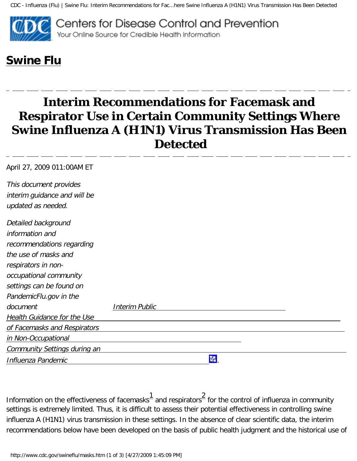CDC - Influenza (Flu) | Swine Flu: Interim Recommendations for Fac...here Swine Influenza A (H1N1) Virus Transmission Has Been Detected



## **[Swine Flu](http://www.cdc.gov/swineflu/)**

## **Interim Recommendations for Facemask and Respirator Use in Certain Community Settings Where Swine Influenza A (H1N1) Virus Transmission Has Been Detected**

| April 27, 2009 011:00AM ET                         |                       |  |
|----------------------------------------------------|-----------------------|--|
| This document provides                             |                       |  |
| interim guidance and will be<br>updated as needed. |                       |  |
| Detailed background                                |                       |  |
| information and                                    |                       |  |
| recommendations regarding                          |                       |  |
| the use of masks and                               |                       |  |
| respirators in non-                                |                       |  |
| occupational community                             |                       |  |
| settings can be found on                           |                       |  |
| PandemicFlu.gov in the                             |                       |  |
| document                                           | <b>Interim Public</b> |  |
| Health Guidance for the Use                        |                       |  |
| of Facemasks and Respirators                       |                       |  |
| in Non-Occupational                                |                       |  |
| <b>Community Settings during an</b>                |                       |  |
| Influenza Pandemic                                 | 酬                     |  |

Information on the effectiveness of facemasks<sup>[1](#page-1-0)</sup> and respirators<sup>[2](#page-2-0)</sup> for the control of influenza in community settings is extremely limited. Thus, it is difficult to assess their potential effectiveness in controlling swine influenza A (H1N1) virus transmission in these settings. In the absence of clear scientific data, the interim recommendations below have been developed on the basis of public health judgment and the historical use of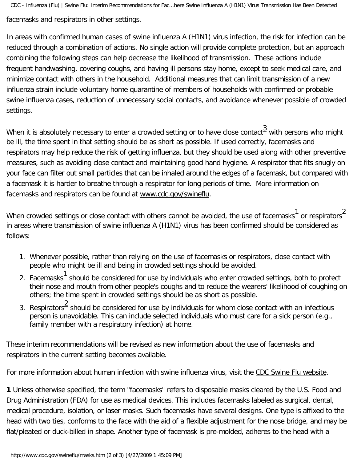facemasks and respirators in other settings.

In areas with confirmed human cases of swine influenza A (H1N1) virus infection, the risk for infection can be reduced through a combination of actions. No single action will provide complete protection, but an approach combining the following steps can help decrease the likelihood of transmission. These actions include frequent handwashing, covering coughs, and having ill persons stay home, except to seek medical care, and minimize contact with others in the household. Additional measures that can limit transmission of a new influenza strain include voluntary home quarantine of members of households with confirmed or probable swine influenza cases, reduction of unnecessary social contacts, and avoidance whenever possible of crowded settings.

When it is absolutely necessary to enter a crowded setting or to have close contact $\frac{3}{2}$  $\frac{3}{2}$  $\frac{3}{2}$  with persons who might be ill, the time spent in that setting should be as short as possible. If used correctly, facemasks and respirators may help reduce the risk of getting influenza, but they should be used along with other preventive measures, such as avoiding close contact and maintaining good hand hygiene. A respirator that fits snugly on your face can filter out small particles that can be inhaled around the edges of a facemask, but compared with a facemask it is harder to breathe through a respirator for long periods of time. More information on facemasks and respirators can be found at [www.cdc.gov/swineflu.](http://www.cdc.gov/swineflu)

When crowded settings or close contact with others cannot be avoided, the use of facemasks  $1 \over 2$  $1 \over 2$  $1 \over 2$  or respirators  $^2$ in areas where transmission of swine influenza A (H1N1) virus has been confirmed should be considered as follows:

- 1. Whenever possible, rather than relying on the use of facemasks or respirators, close contact with people who might be ill and being in crowded settings should be avoided.
- 2. Facemasks $1$  should be considered for use by individuals who enter crowded settings, both to protect their nose and mouth from other people's coughs and to reduce the wearers' likelihood of coughing on others; the time spent in crowded settings should be as short as possible.
- 3. Respirators<sup>[2](#page-2-0)</sup> should be considered for use by individuals for whom close contact with an infectious person is unavoidable. This can include selected individuals who must care for a sick person (e.g., family member with a respiratory infection) at home.

These interim recommendations will be revised as new information about the use of facemasks and respirators in the current setting becomes available.

For more information about human infection with swine influenza virus, visit the [CDC Swine Flu website.](http://www.cdc.gov/swineflu/)

<span id="page-1-0"></span>**1** Unless otherwise specified, the term "facemasks" refers to disposable masks cleared by the U.S. Food and Drug Administration (FDA) for use as medical devices. This includes facemasks labeled as surgical, dental, medical procedure, isolation, or laser masks. Such facemasks have several designs. One type is affixed to the head with two ties, conforms to the face with the aid of a flexible adjustment for the nose bridge, and may be flat/pleated or duck-billed in shape. Another type of facemask is pre-molded, adheres to the head with a